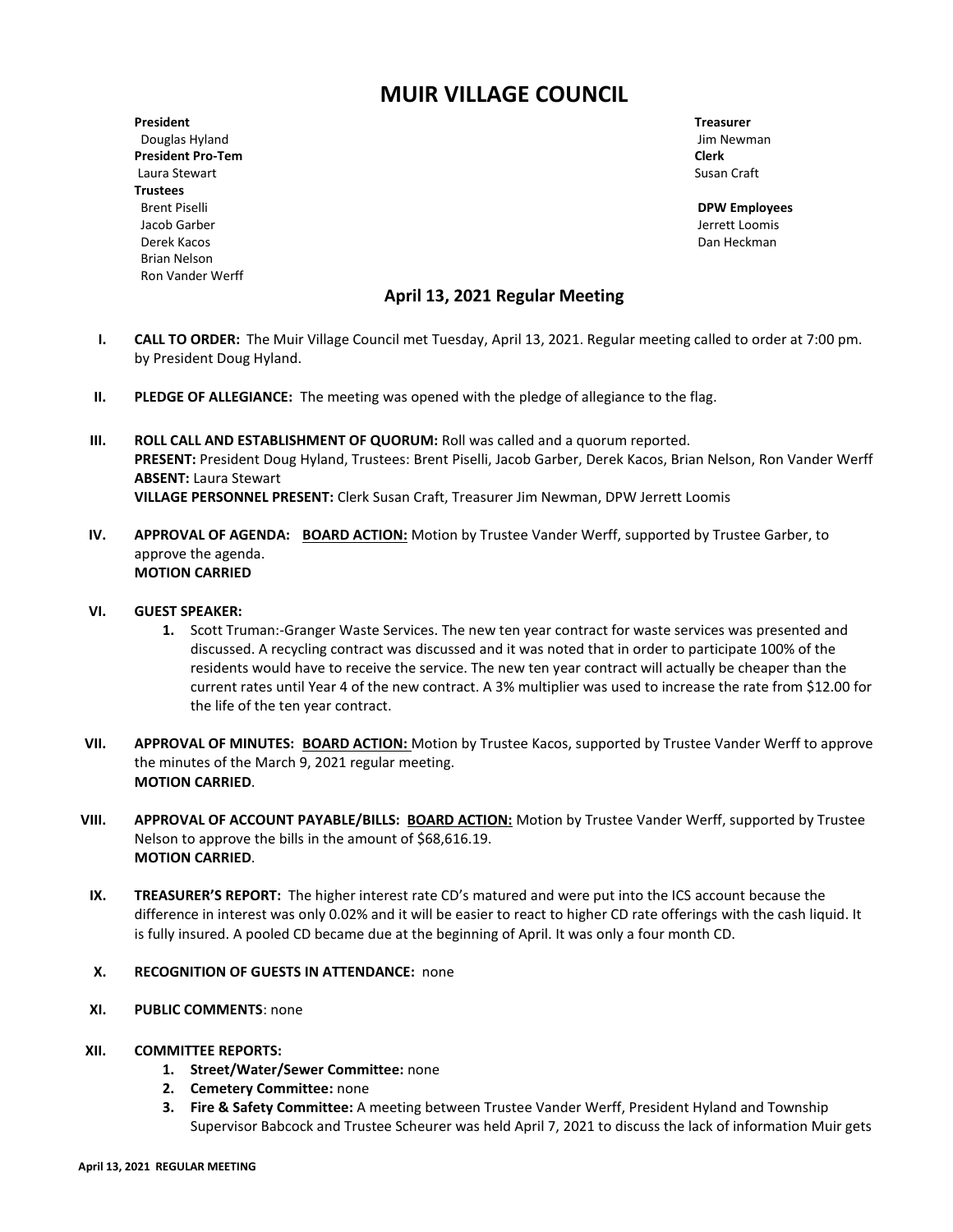# **MUIR VILLAGE COUNCIL**

**President Treasurer** Douglas Hyland Jim Newman Jim Newman Jim Newman Jim Newman Jim Newman Jim Newman **President Pro-Tem Clerk** Laura Stewart **Susan Craft** Susan Craft Susan Craft Susan Craft Susan Craft Susan Craft Susan Craft Susan Craft Susan Craft Susan Craft Susan Craft Susan Craft Susan Craft Susan Craft Susan Craft Susan Craft Susan Craft Su **Trustees** Brent Piselli **DPW Employees** Jacob Garber **Jerrett Loomis** and the United States of the United States of the United States of the United States of the United States of the United States of the United States of the United States of the United States of Derek Kacos Dan Heckman Brian Nelson Ron Vander Werff

## **April 13, 2021 Regular Meeting**

- **I. CALL TO ORDER:** The Muir Village Council met Tuesday, April 13, 2021. Regular meeting called to order at 7:00 pm. by President Doug Hyland.
- **II.** PLEDGE OF ALLEGIANCE: The meeting was opened with the pledge of allegiance to the flag.
- **III. ROLL CALL AND ESTABLISHMENT OF QUORUM:** Roll was called and a quorum reported. **PRESENT:** President Doug Hyland, Trustees: Brent Piselli, Jacob Garber, Derek Kacos, Brian Nelson, Ron Vander Werff **ABSENT:** Laura Stewart **VILLAGE PERSONNEL PRESENT:** Clerk Susan Craft, Treasurer Jim Newman, DPW Jerrett Loomis
- **IV. APPROVAL OF AGENDA: BOARD ACTION:** Motion by Trustee Vander Werff, supported by Trustee Garber, to approve the agenda. **MOTION CARRIED**
- **VI. GUEST SPEAKER:** 
	- **1.** Scott Truman:-Granger Waste Services. The new ten year contract for waste services was presented and discussed. A recycling contract was discussed and it was noted that in order to participate 100% of the residents would have to receive the service. The new ten year contract will actually be cheaper than the current rates until Year 4 of the new contract. A 3% multiplier was used to increase the rate from \$12.00 for the life of the ten year contract.
- **VII. APPROVAL OF MINUTES: BOARD ACTION:** Motion by Trustee Kacos, supported by Trustee Vander Werff to approve the minutes of the March 9, 2021 regular meeting. **MOTION CARRIED**.
- **VIII. APPROVAL OF ACCOUNT PAYABLE/BILLS: BOARD ACTION:** Motion by Trustee Vander Werff, supported by Trustee Nelson to approve the bills in the amount of \$68,616.19. **MOTION CARRIED**.
- **IX. TREASURER'S REPORT:** The higher interest rate CD's matured and were put into the ICS account because the difference in interest was only 0.02% and it will be easier to react to higher CD rate offerings with the cash liquid. It is fully insured. A pooled CD became due at the beginning of April. It was only a four month CD.
- **X. RECOGNITION OF GUESTS IN ATTENDANCE:** none
- **XI. PUBLIC COMMENTS**: none
- **XII. COMMITTEE REPORTS:**
	- **1. Street/Water/Sewer Committee:** none
	- **2. Cemetery Committee:** none
	- **3. Fire & Safety Committee:** A meeting between Trustee Vander Werff, President Hyland and Township Supervisor Babcock and Trustee Scheurer was held April 7, 2021 to discuss the lack of information Muir gets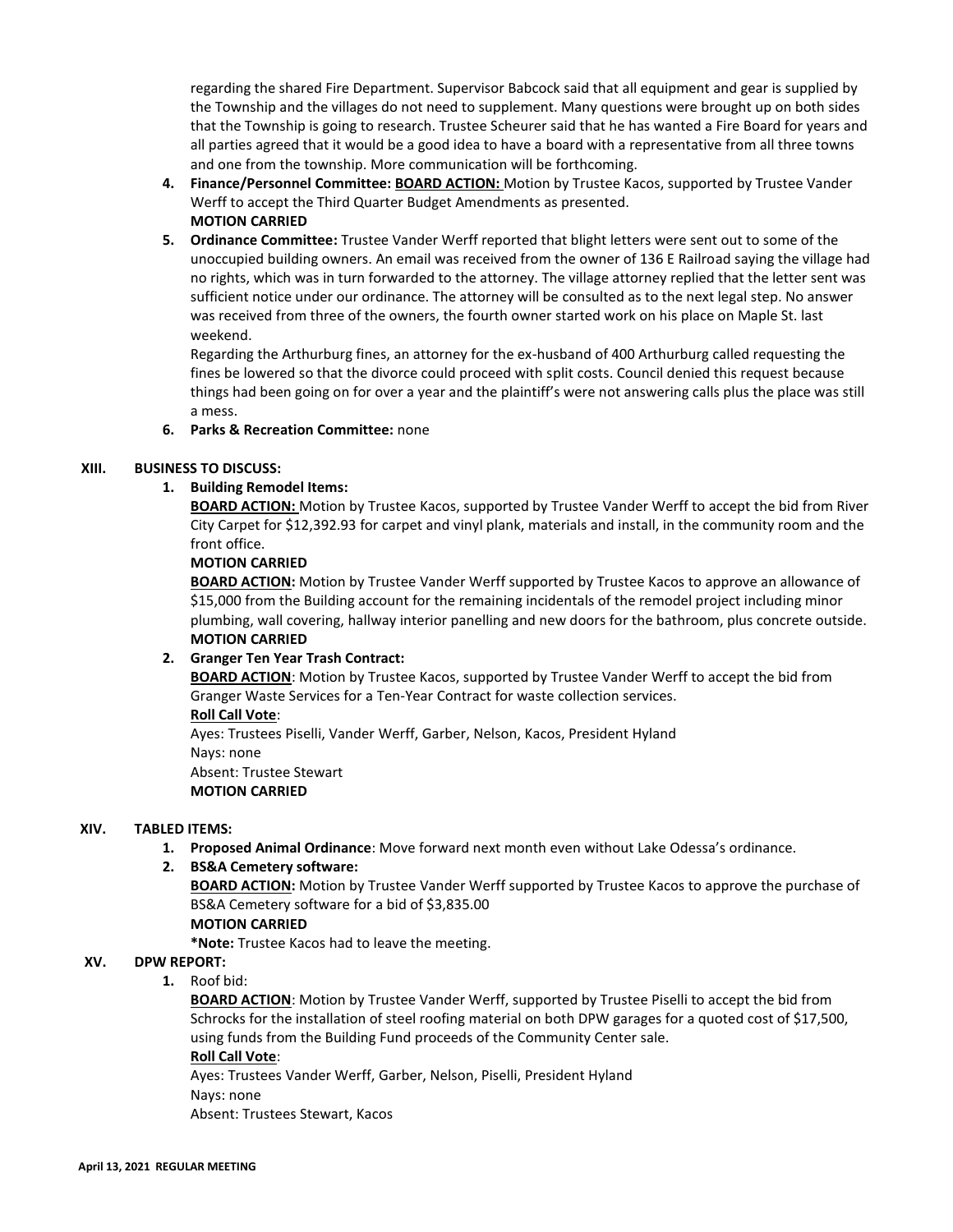regarding the shared Fire Department. Supervisor Babcock said that all equipment and gear is supplied by the Township and the villages do not need to supplement. Many questions were brought up on both sides that the Township is going to research. Trustee Scheurer said that he has wanted a Fire Board for years and all parties agreed that it would be a good idea to have a board with a representative from all three towns and one from the township. More communication will be forthcoming.

- **4. Finance/Personnel Committee: BOARD ACTION:** Motion by Trustee Kacos, supported by Trustee Vander Werff to accept the Third Quarter Budget Amendments as presented. **MOTION CARRIED**
- **5. Ordinance Committee:** Trustee Vander Werff reported that blight letters were sent out to some of the unoccupied building owners. An email was received from the owner of 136 E Railroad saying the village had no rights, which was in turn forwarded to the attorney. The village attorney replied that the letter sent was sufficient notice under our ordinance. The attorney will be consulted as to the next legal step. No answer was received from three of the owners, the fourth owner started work on his place on Maple St. last weekend.

Regarding the Arthurburg fines, an attorney for the ex-husband of 400 Arthurburg called requesting the fines be lowered so that the divorce could proceed with split costs. Council denied this request because things had been going on for over a year and the plaintiff's were not answering calls plus the place was still a mess.

## **6. Parks & Recreation Committee:** none

#### **XIII. BUSINESS TO DISCUSS:**

## **1. Building Remodel Items:**

**BOARD ACTION:** Motion by Trustee Kacos, supported by Trustee Vander Werff to accept the bid from River City Carpet for \$12,392.93 for carpet and vinyl plank, materials and install, in the community room and the front office.

#### **MOTION CARRIED**

**BOARD ACTION:** Motion by Trustee Vander Werff supported by Trustee Kacos to approve an allowance of \$15,000 from the Building account for the remaining incidentals of the remodel project including minor plumbing, wall covering, hallway interior panelling and new doors for the bathroom, plus concrete outside. **MOTION CARRIED**

## **2. Granger Ten Year Trash Contract:**

**BOARD ACTION**: Motion by Trustee Kacos, supported by Trustee Vander Werff to accept the bid from Granger Waste Services for a Ten-Year Contract for waste collection services.

#### **Roll Call Vote**:

Ayes: Trustees Piselli, Vander Werff, Garber, Nelson, Kacos, President Hyland Nays: none Absent: Trustee Stewart **MOTION CARRIED**

#### **XIV. TABLED ITEMS:**

**1. Proposed Animal Ordinance**: Move forward next month even without Lake Odessa's ordinance.

## **2. BS&A Cemetery software:**

**BOARD ACTION:** Motion by Trustee Vander Werff supported by Trustee Kacos to approve the purchase of BS&A Cemetery software for a bid of \$3,835.00

## **MOTION CARRIED**

**\*Note:** Trustee Kacos had to leave the meeting.

#### **XV. DPW REPORT:**

## **1.** Roof bid:

**BOARD ACTION**: Motion by Trustee Vander Werff, supported by Trustee Piselli to accept the bid from Schrocks for the installation of steel roofing material on both DPW garages for a quoted cost of \$17,500, using funds from the Building Fund proceeds of the Community Center sale.

#### **Roll Call Vote**:

Ayes: Trustees Vander Werff, Garber, Nelson, Piselli, President Hyland Nays: none

Absent: Trustees Stewart, Kacos